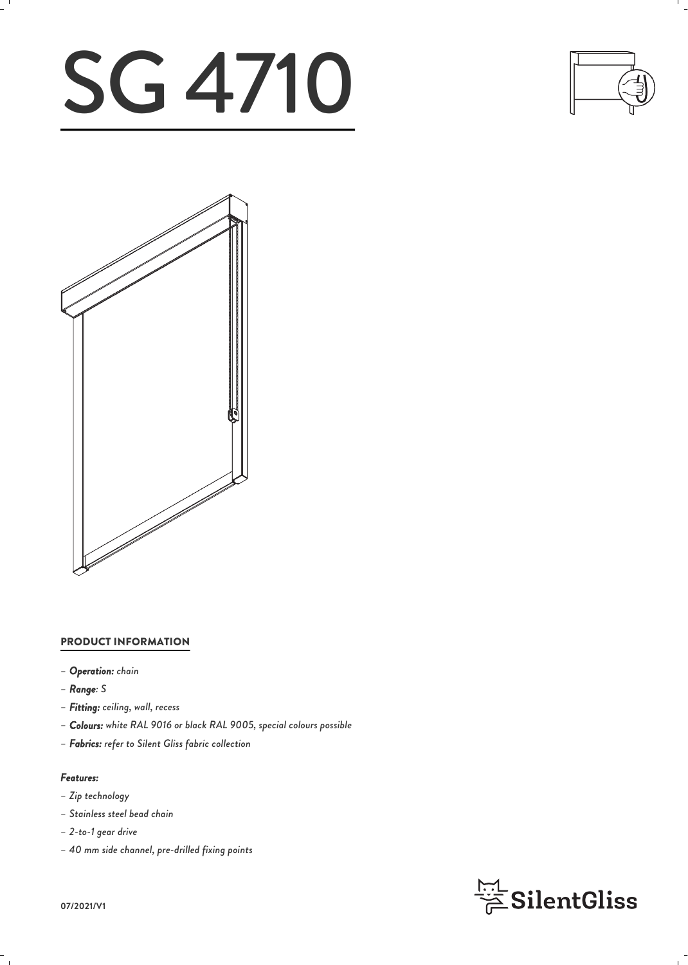# SG 4710





#### PRODUCT INFORMATION

- *– Operation: chain*
- *– Range: S*
- *– Fitting: ceiling, wall, recess*
- *– Colours: white RAL 9016 or black RAL 9005, special colours possible*
- *– Fabrics: refer to Silent Gliss fabric collection*

#### *Features:*

- *– Zip technology*
- *– Stainless steel bead chain*
- *– 2-to-1 gear drive*
- *– 40 mm side channel, pre-drilled fixing points*



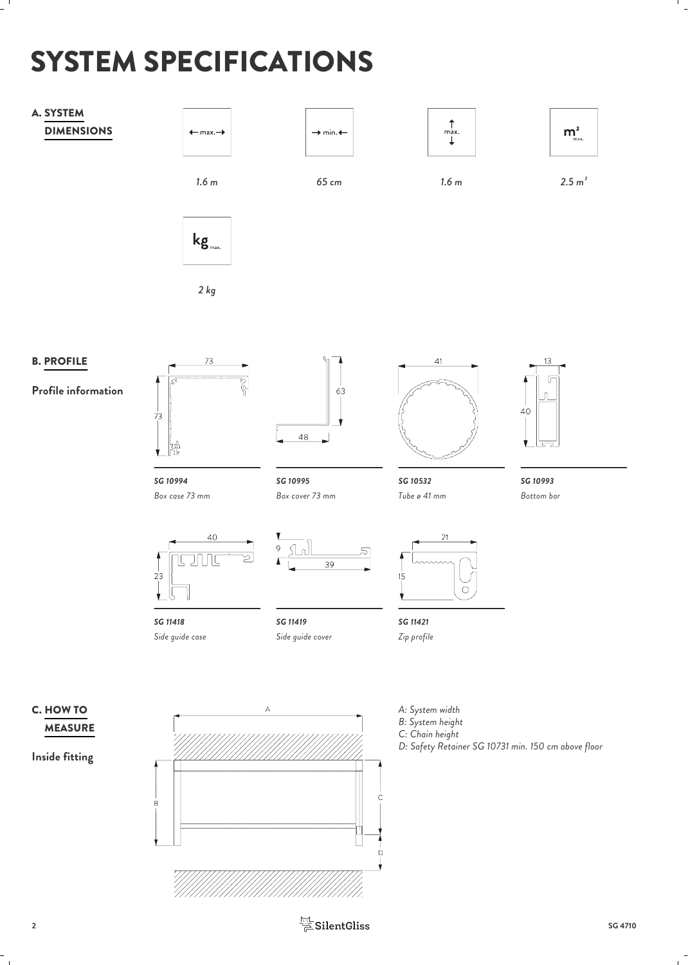# SYSTEM SPECIFICATIONS



 $\frac{\frac{1}{111}}{\cancel{2}}$  SilentGliss SG 4710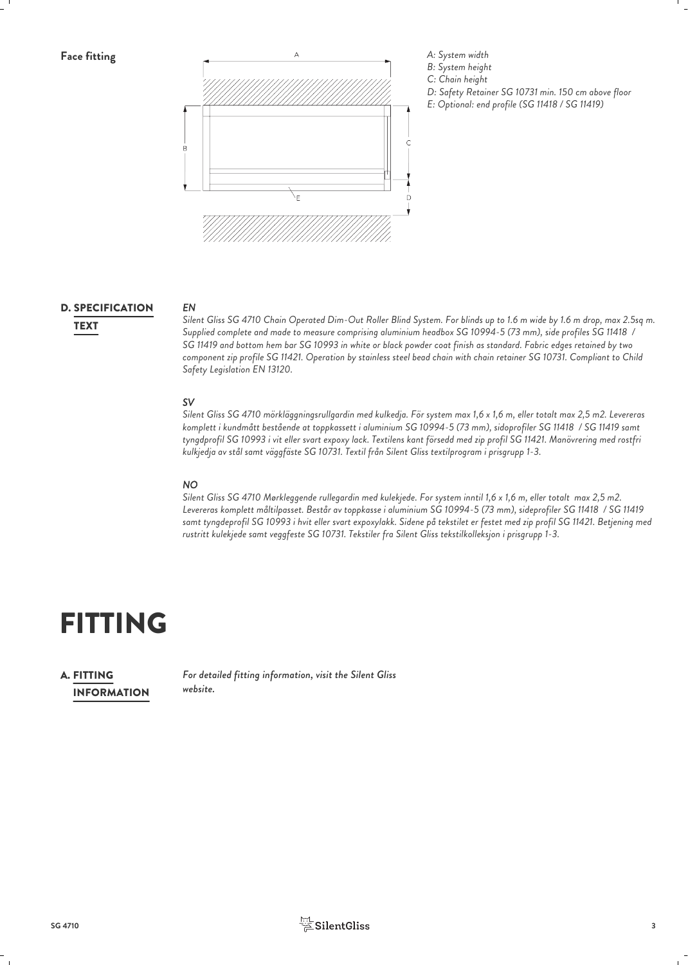

## D. SPECIFICATION EN EN

*EN Silent Gliss SG 4710 Chain Operated Dim-Out Roller Blind System. For blinds up to 1.6 m wide by 1.6 m drop, max 2.5sq m. Supplied complete and made to measure comprising aluminium headbox SG 10994-5 (73 mm), side profiles SG 11418 /* TEXT *SG 11419 and bottom hem bar SG 10993 in white or black powder coat finish as standard. Fabric edges retained by two component zip profile SG 11421. Operation by stainless steel bead chain with chain retainer SG 10731. Compliant to Child Safety Legislation EN 13120.*

#### *SV*

*Silent Gliss SG 4710 mörkläggningsrullgardin med kulkedja. För system max 1,6 x 1,6 m, eller totalt max 2,5 m2. Levereras komplett i kundmått bestående at toppkassett i aluminium SG 10994-5 (73 mm), sidoprofiler SG 11418 / SG 11419 samt tyngdprofil SG 10993 i vit eller svart expoxy lack. Textilens kant försedd med zip profil SG 11421. Manövrering med rostfri kulkjedja av stål samt väggfäste SG 10731. Textil från Silent Gliss textilprogram i prisgrupp 1-3.*

#### *NO*

*Silent Gliss SG 4710 Mørkleggende rullegardin med kulekjede. For system inntil 1,6 x 1,6 m, eller totalt max 2,5 m2. Levereras komplett måltilpasset. Består av toppkasse i aluminium SG 10994-5 (73 mm), sideprofiler SG 11418 / SG 11419 samt tyngdeprofil SG 10993 i hvit eller svart expoxylakk. Sidene på tekstilet er festet med zip profil SG 11421. Betjening med rustritt kulekjede samt veggfeste SG 10731. Tekstiler fra Silent Gliss tekstilkolleksjon i prisgrupp 1-3.*

## FITTING

INFORMATION **A. FITTING** 

*For detailed fitting information, visit the Silent Gliss* FITTING *website.*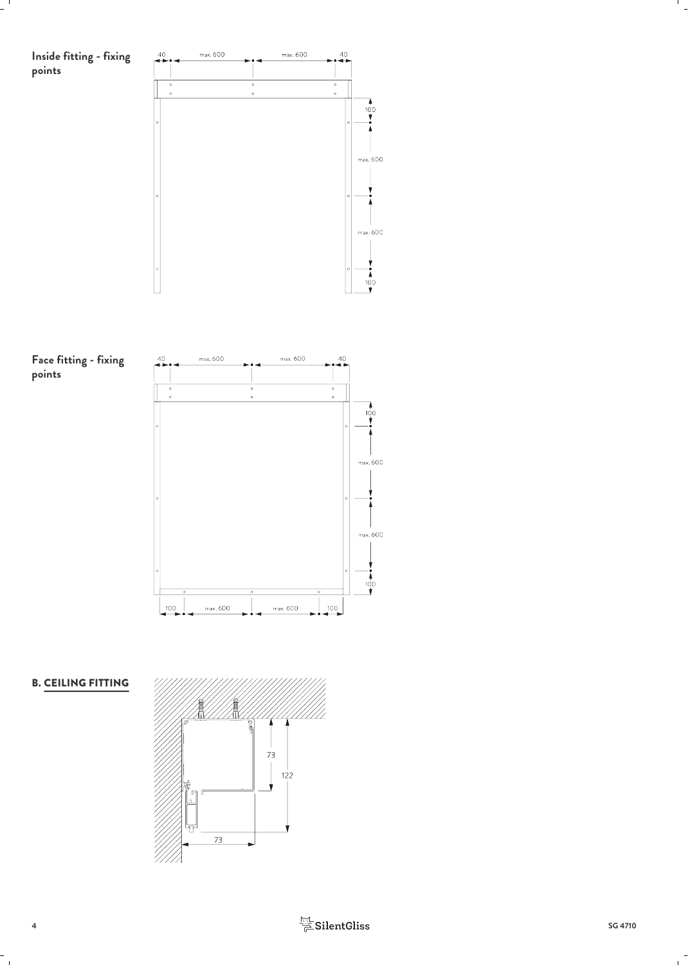

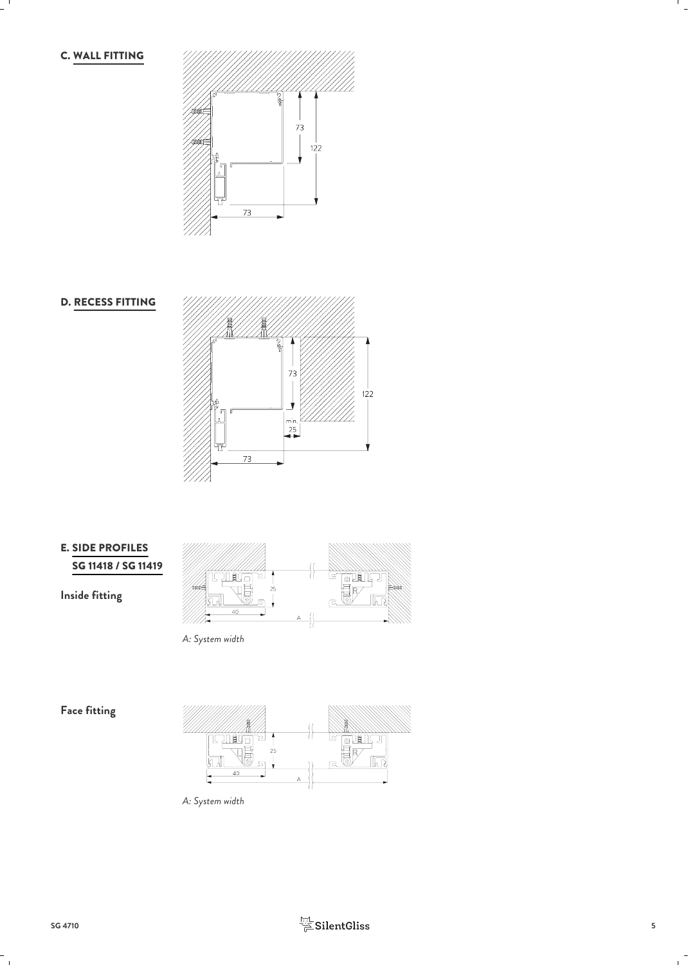C. WALL FITTING









*A: System width*

**Face fitting**



*A: System width*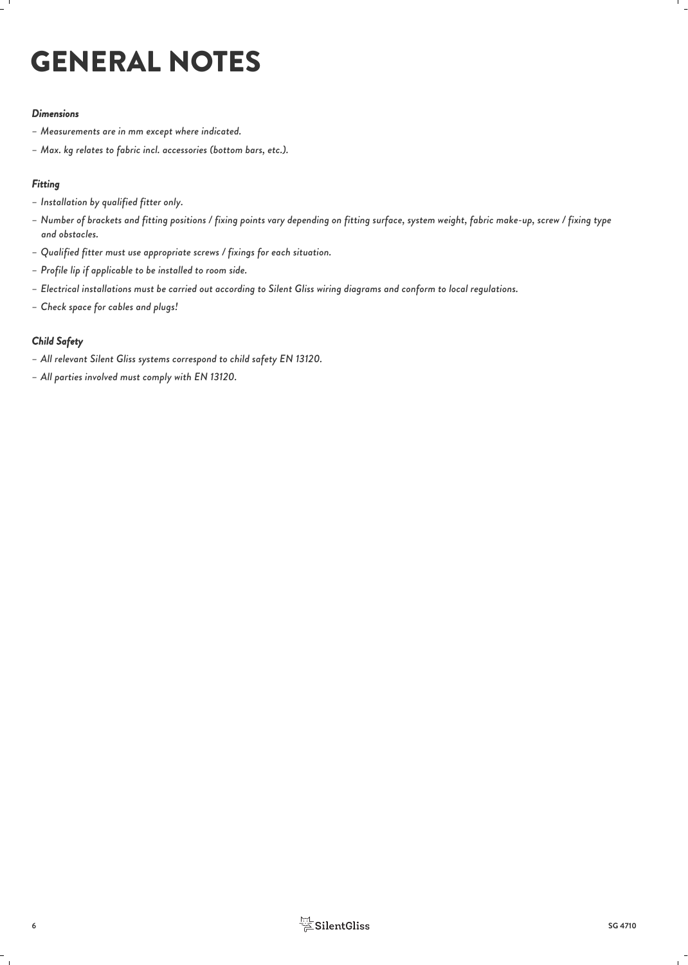# GENERAL NOTES

#### *Dimensions*

- *– Measurements are in mm except where indicated.*
- *– Max. kg relates to fabric incl. accessories (bottom bars, etc.).*

#### *Fitting*

- *– Installation by qualified fitter only.*
- *– Number of brackets and fitting positions / fixing points vary depending on fitting surface, system weight, fabric make-up, screw / fixing type and obstacles.*
- *– Qualified fitter must use appropriate screws / fixings for each situation.*
- *– Profile lip if applicable to be installed to room side.*
- *– Electrical installations must be carried out according to Silent Gliss wiring diagrams and conform to local regulations.*
- *– Check space for cables and plugs!*

#### *Child Safety*

- *– All relevant Silent Gliss systems correspond to child safety EN 13120.*
- *– All parties involved must comply with EN 13120.*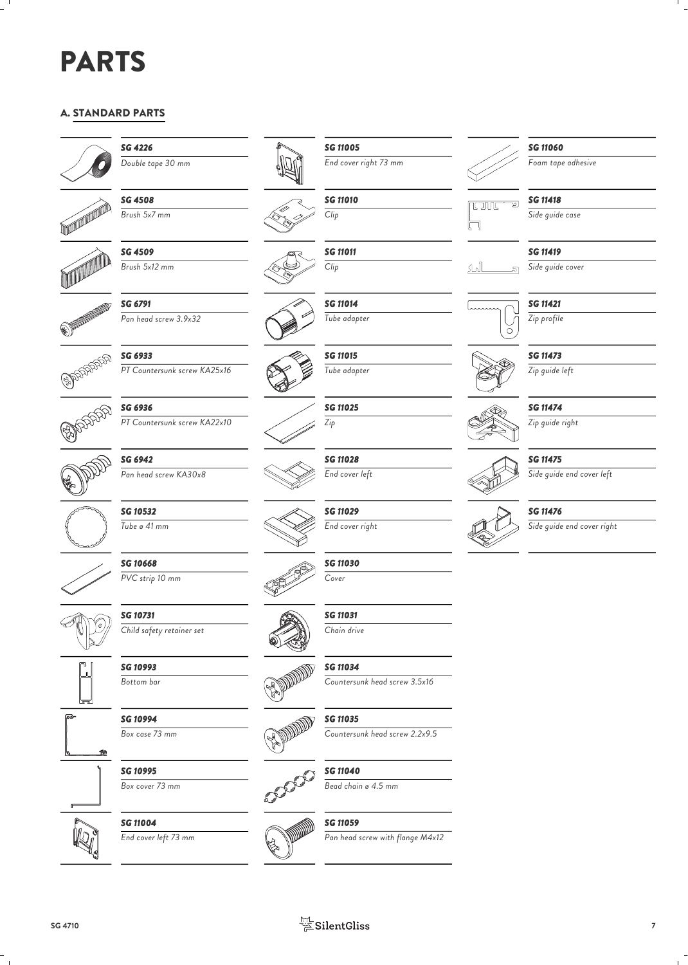## PARTS

### A. STANDARD PARTS



*SG 4226*

*SG 4508*



*Brush 5x7 mm*



*SG 4509 Brush 5x12 mm*

*SG 6791 Pan head screw 3.9x32*



*SG 6933 PT Countersunk screw KA25x16*



*SG 6936 PT Countersunk screw KA22x10*





*SG 10532 Tube ø 41 mm*

*SG 10668 PVC strip 10 mm*

*SG 10731 Child safety retainer set*

*SG 10993 Bottom bar*

*SG 10994 Box case 73 mm*

*SG 10995*









 $S$ G 11004<br>  $F$ <sub>End cover left 73 mm</sub> *End cover left 73 mm Pan head screw with flange M4x12*



*Double tape 30 mm End cover right 73 mm SG 11005*



*SG 11011*





*SG 11015 Tube adapter*

*SG 11025 Zip*

*End cover left*

*SG 11030 Cover*

*SG 11031 Chain drive*











**SG 11010**<br><u>Cu</u> *Clip*  $\left| \begin{matrix} 1 & 0 & 0 \\ 0 & 0 & 0 \\ 0 & 0 & 0 \\ 0 & 0 & 0 \\ 0 & 0 & 0 \\ 0 & 0 & 0 \\ 0 & 0 & 0 & 0 \\ 0 & 0 & 0 & 0 \\ 0 & 0 & 0 & 0 \\ 0 & 0 & 0 & 0 \\ 0 & 0 & 0 & 0 & 0 \\ 0 & 0 & 0 & 0 & 0 \\ 0 & 0 & 0 & 0 & 0 \\ 0 & 0 & 0 & 0 & 0 & 0 \\ 0 & 0 & 0 & 0 & 0 & 0 \\ 0 & 0 & 0 & 0 & 0 & 0 \\ 0 & 0$ 





*SG 11060*

*Foam tape adhesive*

#### *SG 11418*

*Side guide case*



*SG 11419*

*Side guide cover*

*SG 11421 Zip profile*



*Zip guide left*



*SG 11474*

*Zip guide right*

#### *SG 11475*

*Side guide end cover left*



*Side guide end cover right*



*SG 11476*



*SG 11028*

*SG 11029 End cover right*

*SG 11034*

*Countersunk head screw 3.5x16*

*SG 11035*

*Countersunk head screw 2.2x9.5*

*SG 11040*

*Bead chain ø 4.5 mm*

*SG 11059*